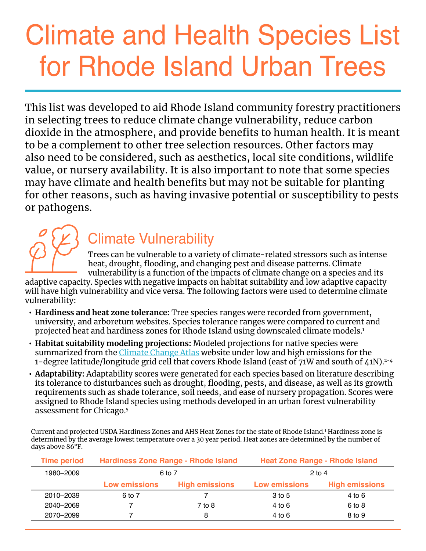# Climate and Health Species List for Rhode Island Urban Trees

This list was developed to aid Rhode Island community forestry practitioners in selecting trees to reduce climate change vulnerability, reduce carbon dioxide in the atmosphere, and provide benefits to human health. It is meant to be a complement to other tree selection resources. Other factors may also need to be considered, such as aesthetics, local site conditions, wildlife value, or nursery availability. It is also important to note that some species may have climate and health benefits but may not be suitable for planting for other reasons, such as having invasive potential or susceptibility to pests or pathogens.

# Climate Vulnerability

Trees can be vulnerable to a variety of climate-related stressors such as intense heat, drought, flooding, and changing pest and disease patterns. Climate vulnerability is a function of the impacts of climate change on a species and its

adaptive capacity. Species with negative impacts on habitat suitability and low adaptive capacity will have high vulnerability and vice versa. The following factors were used to determine climate vulnerability:

- **• Hardiness and heat zone tolerance:** Tree species ranges were recorded from government, university, and arboretum websites. Species tolerance ranges were compared to current and projected heat and hardiness zones for Rhode Island using downscaled climate models.<sup>1</sup>
- **• Habitat suitability modeling projections:** Modeled projections for native species were summarized from the *[Climate Change Atlas]( http://www.nrs.fs.fed.us/atlas)* website under low and high emissions for the 1-degree latitude/longitude grid cell that covers Rhode Island (east of 71W and south of 41N).<sup>2-4</sup>
- **• Adaptability:** Adaptability scores were generated for each species based on literature describing its tolerance to disturbances such as drought, flooding, pests, and disease, as well as its growth requirements such as shade tolerance, soil needs, and ease of nursery propagation. Scores were assigned to Rhode Island species using methods developed in an urban forest vulnerability assessment for Chicago.<sup>5</sup>

Current and projected USDA Hardiness Zones and AHS Heat Zones for the state of Rhode Island.<sup>1</sup> Hardiness zone is determined by the average lowest temperature over a 30 year period. Heat zones are determined by the number of days above 86°F.

| <b>Time period</b> | Hardiness Zone Range - Rhode Island |                       | <b>Heat Zone Range - Rhode Island</b> |                       |  |
|--------------------|-------------------------------------|-----------------------|---------------------------------------|-----------------------|--|
| 1980-2009          | 6 to 7                              |                       | $2$ to 4                              |                       |  |
|                    | Low emissions                       | <b>High emissions</b> | Low emissions                         | <b>High emissions</b> |  |
| 2010-2039          | 6 to 7                              |                       | $3$ to 5                              | 4 to 6                |  |
| 2040-2069          |                                     | 7 to 8                | 4 to 6                                | 6 to 8                |  |
| 2070-2099          |                                     | 8                     | 4 to 6                                | 8 to 9                |  |
|                    |                                     |                       |                                       |                       |  |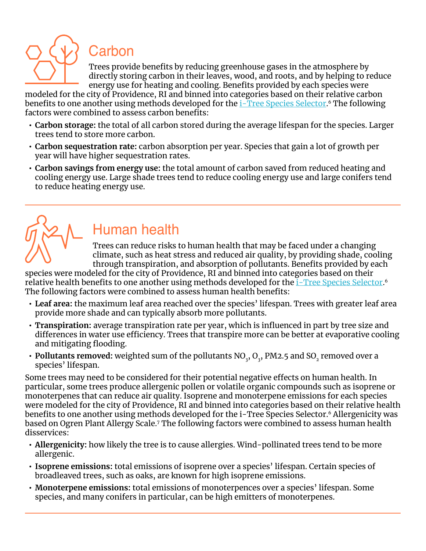

### Carbon

Trees provide benefits by reducing greenhouse gases in the atmosphere by directly storing carbon in their leaves, wood, and roots, and by helping to reduce energy use for heating and cooling. Benefits provided by each species were

modeled for the city of Providence, RI and binned into categories based on their relative carbon benefits to one another using methods developed for the <u>i-Tree Species Selector</u>.6 The following factors were combined to assess carbon benefits:

- **• Carbon storage:** the total of all carbon stored during the average lifespan for the species. Larger trees tend to store more carbon.
- **• Carbon sequestration rate:** carbon absorption per year. Species that gain a lot of growth per year will have higher sequestration rates.
- **• Carbon savings from energy use:** the total amount of carbon saved from reduced heating and cooling energy use. Large shade trees tend to reduce cooling energy use and large conifers tend to reduce heating energy use.



## Human health

Trees can reduce risks to human health that may be faced under a changing climate, such as heat stress and reduced air quality, by providing shade, cooling through transpiration, and absorption of pollutants. Benefits provided by each

species were modeled for the city of Providence, RI and binned into categories based on their relative health benefits to one another using methods developed for the <u>[i-Tree Species Selector](https://species.itreetools.org/)</u>.6 The following factors were combined to assess human health benefits:

- **• Leaf area:** the maximum leaf area reached over the species' lifespan. Trees with greater leaf area provide more shade and can typically absorb more pollutants.
- **• Transpiration:** average transpiration rate per year, which is influenced in part by tree size and differences in water use efficiency. Trees that transpire more can be better at evaporative cooling and mitigating flooding.
- Pollutants removed: weighted sum of the pollutants  $\rm NO_{_3}, O_{_3}, PM2.5$  and  $\rm SO_{_2}$  removed over a species' lifespan.

Some trees may need to be considered for their potential negative effects on human health. In particular, some trees produce allergenic pollen or volatile organic compounds such as isoprene or monoterpenes that can reduce air quality. Isoprene and monoterpene emissions for each species were modeled for the city of Providence, RI and binned into categories based on their relative health benefits to one another using methods developed for the i-Tree Species Selector.<sup>6</sup> Allergenicity was based on Ogren Plant Allergy Scale.7 The following factors were combined to assess human health disservices:

- **• Allergenicity:** how likely the tree is to cause allergies. Wind-pollinated trees tend to be more allergenic.
- **• Isoprene emissions:** total emissions of isoprene over a species' lifespan. Certain species of broadleaved trees, such as oaks, are known for high isoprene emissions.
- **• Monoterpene emissions:** total emissions of monoterpences over a species' lifespan. Some species, and many conifers in particular, can be high emitters of monoterpenes.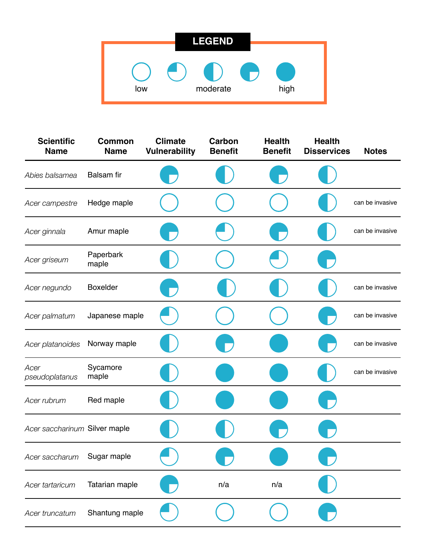|     | <b>LEGEND</b> |      |
|-----|---------------|------|
|     |               |      |
|     |               |      |
| low | moderate      | high |

| <b>Scientific</b><br><b>Name</b> | <b>Common</b><br><b>Name</b> | <b>Climate</b><br><b>Vulnerability</b> | Carbon<br><b>Benefit</b> | <b>Health</b><br><b>Benefit</b> | <b>Health</b><br><b>Disservices</b> | <b>Notes</b>    |
|----------------------------------|------------------------------|----------------------------------------|--------------------------|---------------------------------|-------------------------------------|-----------------|
| Abies balsamea                   | <b>Balsam</b> fir            |                                        |                          |                                 |                                     |                 |
| Acer campestre                   | Hedge maple                  |                                        |                          |                                 |                                     | can be invasive |
| Acer ginnala                     | Amur maple                   |                                        |                          |                                 |                                     | can be invasive |
| Acer griseum                     | Paperbark<br>maple           |                                        |                          |                                 |                                     |                 |
| Acer negundo                     | <b>Boxelder</b>              |                                        |                          |                                 |                                     | can be invasive |
| Acer palmatum                    | Japanese maple               |                                        |                          |                                 |                                     | can be invasive |
| Acer platanoides                 | Norway maple                 |                                        |                          |                                 |                                     | can be invasive |
| Acer<br>pseudoplatanus           | Sycamore<br>maple            |                                        |                          |                                 |                                     | can be invasive |
| Acer rubrum                      | Red maple                    |                                        |                          |                                 |                                     |                 |
| Acer saccharinum Silver maple    |                              |                                        |                          |                                 |                                     |                 |
| Acer saccharum                   | Sugar maple                  |                                        |                          |                                 |                                     |                 |
| Acer tartaricum                  | Tatarian maple               |                                        | n/a                      | n/a                             |                                     |                 |
| Acer truncatum                   | Shantung maple               |                                        |                          |                                 |                                     |                 |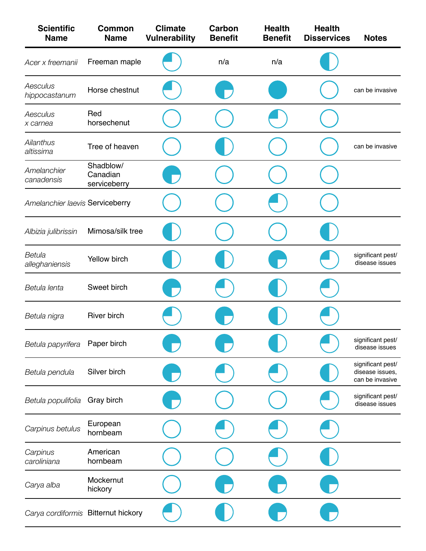| <b>Scientific</b><br><b>Name</b>    | <b>Common</b><br><b>Name</b>          | <b>Climate</b><br><b>Vulnerability</b> | Carbon<br><b>Benefit</b> | <b>Health</b><br><b>Benefit</b> | <b>Health</b><br><b>Disservices</b> | <b>Notes</b>                                            |
|-------------------------------------|---------------------------------------|----------------------------------------|--------------------------|---------------------------------|-------------------------------------|---------------------------------------------------------|
| Acer x freemanii                    | Freeman maple                         |                                        | n/a                      | n/a                             |                                     |                                                         |
| Aesculus<br>hippocastanum           | Horse chestnut                        |                                        |                          |                                 |                                     | can be invasive                                         |
| Aesculus<br>x carnea                | Red<br>horsechenut                    |                                        |                          |                                 |                                     |                                                         |
| Ailanthus<br>altissima              | Tree of heaven                        |                                        |                          |                                 |                                     | can be invasive                                         |
| Amelanchier<br>canadensis           | Shadblow/<br>Canadian<br>serviceberry |                                        |                          |                                 |                                     |                                                         |
| Amelanchier laevis Serviceberry     |                                       |                                        |                          |                                 |                                     |                                                         |
| Albizia julibrissin                 | Mimosa/silk tree                      |                                        |                          |                                 |                                     |                                                         |
| Betula<br>alleghaniensis            | Yellow birch                          |                                        |                          |                                 |                                     | significant pest/<br>disease issues                     |
| Betula lenta                        | Sweet birch                           |                                        |                          |                                 |                                     |                                                         |
| Betula nigra                        | <b>River birch</b>                    |                                        |                          |                                 |                                     |                                                         |
| Betula papyrifera                   | Paper birch                           |                                        |                          |                                 |                                     | significant pest/<br>disease issues                     |
| Betula pendula                      | Silver birch                          |                                        |                          |                                 |                                     | significant pest/<br>disease issues,<br>can be invasive |
| Betula populifolia                  | Gray birch                            |                                        |                          |                                 |                                     | significant pest/<br>disease issues                     |
| Carpinus betulus                    | European<br>hornbeam                  |                                        |                          |                                 |                                     |                                                         |
| Carpinus<br>caroliniana             | American<br>hornbeam                  |                                        |                          |                                 |                                     |                                                         |
| Carya alba                          | Mockernut<br>hickory                  |                                        |                          |                                 |                                     |                                                         |
| Carya cordiformis Bitternut hickory |                                       |                                        |                          |                                 |                                     |                                                         |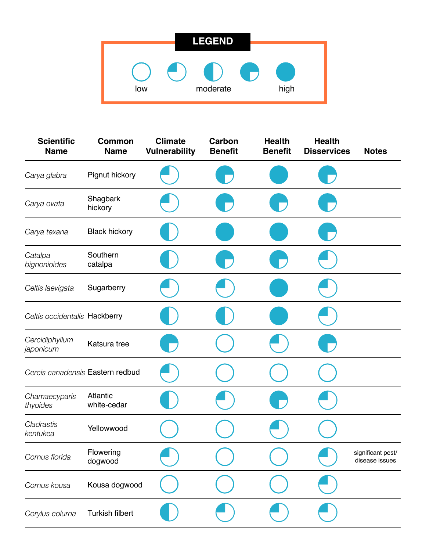|     | <b>LEGEND</b> |      |
|-----|---------------|------|
|     |               |      |
|     |               |      |
| low | moderate      | high |

| <b>Scientific</b><br><b>Name</b> | <b>Common</b><br><b>Name</b> | <b>Climate</b><br><b>Vulnerability</b> | Carbon<br><b>Benefit</b> | <b>Health</b><br><b>Benefit</b> | <b>Health</b><br><b>Disservices</b> | <b>Notes</b>                        |
|----------------------------------|------------------------------|----------------------------------------|--------------------------|---------------------------------|-------------------------------------|-------------------------------------|
| Carya glabra                     | Pignut hickory               |                                        |                          |                                 |                                     |                                     |
| Carya ovata                      | Shagbark<br>hickory          |                                        |                          |                                 |                                     |                                     |
| Carya texana                     | <b>Black hickory</b>         |                                        |                          |                                 |                                     |                                     |
| Catalpa<br>bignonioides          | Southern<br>catalpa          |                                        |                          |                                 |                                     |                                     |
| Celtis laevigata                 | Sugarberry                   |                                        |                          |                                 |                                     |                                     |
| Celtis occidentalis Hackberry    |                              |                                        |                          |                                 |                                     |                                     |
| Cercidiphyllum<br>japonicum      | Katsura tree                 |                                        |                          |                                 |                                     |                                     |
| Cercis canadensis Eastern redbud |                              |                                        |                          |                                 |                                     |                                     |
| Chamaecyparis<br>thyoides        | Atlantic<br>white-cedar      |                                        |                          |                                 |                                     |                                     |
| Cladrastis<br>kentukea           | Yellowwood                   |                                        |                          |                                 |                                     |                                     |
| Cornus florida                   | Flowering<br>dogwood         |                                        |                          |                                 |                                     | significant pest/<br>disease issues |
| Cornus kousa                     | Kousa dogwood                |                                        |                          |                                 |                                     |                                     |
| Corylus colurna                  | Turkish filbert              |                                        |                          |                                 |                                     |                                     |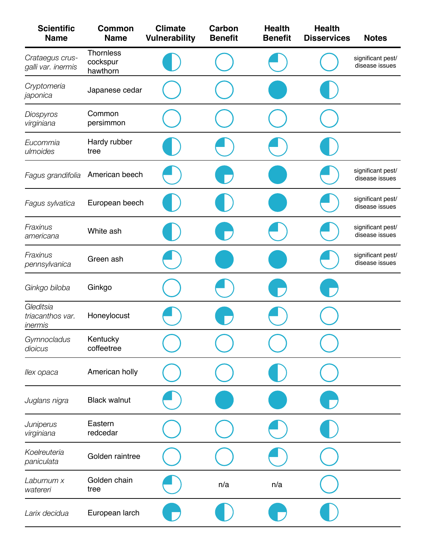| <b>Scientific</b><br><b>Name</b>         | <b>Common</b><br><b>Name</b>             | <b>Climate</b><br><b>Vulnerability</b> | Carbon<br><b>Benefit</b> | <b>Health</b><br><b>Benefit</b> | <b>Health</b><br><b>Disservices</b> | <b>Notes</b>                        |
|------------------------------------------|------------------------------------------|----------------------------------------|--------------------------|---------------------------------|-------------------------------------|-------------------------------------|
| Crataegus crus-<br>galli var. inermis    | <b>Thornless</b><br>cockspur<br>hawthorn |                                        |                          |                                 |                                     | significant pest/<br>disease issues |
| Cryptomeria<br>japonica                  | Japanese cedar                           |                                        |                          |                                 |                                     |                                     |
| Diospyros<br>virginiana                  | Common<br>persimmon                      |                                        |                          |                                 |                                     |                                     |
| Eucommia<br>ulmoides                     | Hardy rubber<br>tree                     |                                        |                          |                                 |                                     |                                     |
| Fagus grandifolia                        | American beech                           |                                        |                          |                                 |                                     | significant pest/<br>disease issues |
| Fagus sylvatica                          | European beech                           |                                        |                          |                                 |                                     | significant pest/<br>disease issues |
| Fraxinus<br>americana                    | White ash                                |                                        |                          |                                 |                                     | significant pest/<br>disease issues |
| Fraxinus<br>pennsylvanica                | Green ash                                |                                        |                          |                                 |                                     | significant pest/<br>disease issues |
| Ginkgo biloba                            | Ginkgo                                   |                                        |                          |                                 |                                     |                                     |
| Gleditsia<br>triacanthos var.<br>inermis | Honeylocust                              |                                        |                          |                                 |                                     |                                     |
| Gymnocladus<br>dioicus                   | Kentucky<br>coffeetree                   |                                        |                          |                                 |                                     |                                     |
| llex opaca                               | American holly                           |                                        |                          |                                 |                                     |                                     |
| Juglans nigra                            | <b>Black walnut</b>                      |                                        |                          |                                 |                                     |                                     |
| Juniperus<br>virginiana                  | Eastern<br>redcedar                      |                                        |                          |                                 |                                     |                                     |
| Koelreuteria<br>paniculata               | Golden raintree                          |                                        |                          |                                 |                                     |                                     |
| Laburnum x<br>watereri                   | Golden chain<br>tree                     |                                        | n/a                      | n/a                             |                                     |                                     |
| Larix decidua                            | European larch                           |                                        |                          |                                 |                                     |                                     |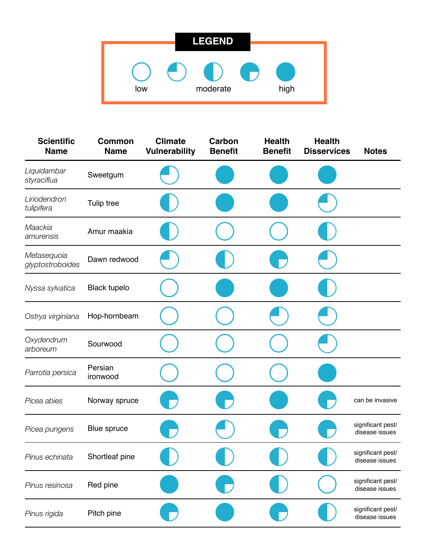|     | <b>LEGEND</b>                |      |
|-----|------------------------------|------|
| low | $\blacksquare$ .<br>moderate | high |
|     |                              |      |

| <b>Scientific</b><br><b>Name</b> | <b>Common</b><br><b>Name</b> | <b>Climate</b><br><b>Vulnerability</b> | Carbon<br><b>Benefit</b> | <b>Health</b><br><b>Benefit</b> | <b>Health</b><br><b>Disservices</b> | <b>Notes</b>                        |
|----------------------------------|------------------------------|----------------------------------------|--------------------------|---------------------------------|-------------------------------------|-------------------------------------|
| Liquidambar<br>styraciflua       | Sweetgum                     |                                        |                          |                                 |                                     |                                     |
| Liriodendron<br>tulipifera       | <b>Tulip tree</b>            |                                        |                          |                                 |                                     |                                     |
| Maackia<br>amurensis             | Amur maakia                  |                                        |                          |                                 |                                     |                                     |
| Metasequoia<br>glyptostroboides  | Dawn redwood                 |                                        |                          |                                 |                                     |                                     |
| Nyssa sylvatica                  | <b>Black tupelo</b>          |                                        |                          |                                 |                                     |                                     |
| Ostrya virginiana                | Hop-hornbeam                 |                                        |                          |                                 |                                     |                                     |
| Oxydendrum<br>arboreum           | Sourwood                     |                                        |                          |                                 |                                     |                                     |
| Parrotia persica                 | Persian<br>ironwood          |                                        |                          |                                 |                                     |                                     |
| Picea abies                      | Norway spruce                |                                        |                          |                                 |                                     | can be invasive                     |
| Picea pungens                    | Blue spruce                  |                                        |                          |                                 |                                     | significant pest/<br>disease issues |
| Pinus echinata                   | Shortleaf pine               |                                        |                          |                                 |                                     | significant pest/<br>disease issues |
| Pinus resinosa                   | Red pine                     |                                        |                          |                                 |                                     | significant pest/<br>disease issues |
| Pinus rigida                     | Pitch pine                   |                                        |                          |                                 |                                     | significant pest/<br>disease issues |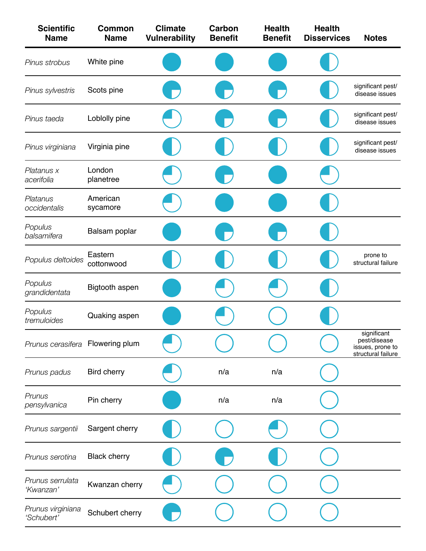| <b>Scientific</b><br><b>Name</b> | <b>Common</b><br><b>Name</b> | <b>Climate</b><br><b>Vulnerability</b> | Carbon<br><b>Benefit</b> | <b>Health</b><br><b>Benefit</b> | <b>Health</b><br><b>Disservices</b> | <b>Notes</b>                                                          |
|----------------------------------|------------------------------|----------------------------------------|--------------------------|---------------------------------|-------------------------------------|-----------------------------------------------------------------------|
| Pinus strobus                    | White pine                   |                                        |                          |                                 |                                     |                                                                       |
| Pinus sylvestris                 | Scots pine                   |                                        |                          |                                 |                                     | significant pest/<br>disease issues                                   |
| Pinus taeda                      | Loblolly pine                |                                        |                          |                                 |                                     | significant pest/<br>disease issues                                   |
| Pinus virginiana                 | Virginia pine                |                                        |                          |                                 |                                     | significant pest/<br>disease issues                                   |
| Platanus x<br>acerifolia         | London<br>planetree          |                                        |                          |                                 |                                     |                                                                       |
| Platanus<br>occidentalis         | American<br>sycamore         |                                        |                          |                                 |                                     |                                                                       |
| Populus<br>balsamifera           | Balsam poplar                |                                        |                          |                                 |                                     |                                                                       |
| Populus deltoides                | Eastern<br>cottonwood        |                                        |                          |                                 |                                     | prone to<br>structural failure                                        |
| Populus<br>grandidentata         | Bigtooth aspen               |                                        |                          |                                 |                                     |                                                                       |
| Populus<br>tremuloides           | Quaking aspen                |                                        |                          |                                 |                                     |                                                                       |
| Prunus cerasifera Flowering plum |                              |                                        |                          |                                 |                                     | significant<br>pest/disease<br>issues, prone to<br>structural failure |
| Prunus padus                     | <b>Bird cherry</b>           |                                        | n/a                      | n/a                             |                                     |                                                                       |
| Prunus<br>pensylvanica           | Pin cherry                   |                                        | n/a                      | n/a                             |                                     |                                                                       |
| Prunus sargentii                 | Sargent cherry               |                                        |                          |                                 |                                     |                                                                       |
| Prunus serotina                  | <b>Black cherry</b>          |                                        |                          |                                 |                                     |                                                                       |
| Prunus serrulata<br>'Kwanzan'    | Kwanzan cherry               |                                        |                          |                                 |                                     |                                                                       |
| Prunus virginiana<br>'Schubert'  | Schubert cherry              |                                        |                          |                                 |                                     |                                                                       |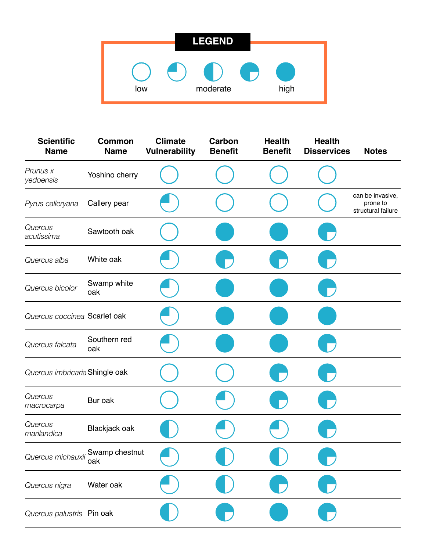|     | <b>LEGEND</b> |      |
|-----|---------------|------|
|     |               |      |
|     |               |      |
| low | moderate      | high |

| <b>Scientific</b><br><b>Name</b> | <b>Common</b><br><b>Name</b> | <b>Climate</b><br><b>Vulnerability</b> | Carbon<br><b>Benefit</b> | <b>Health</b><br><b>Benefit</b> | <b>Health</b><br><b>Disservices</b> | <b>Notes</b>                                       |
|----------------------------------|------------------------------|----------------------------------------|--------------------------|---------------------------------|-------------------------------------|----------------------------------------------------|
| Prunus x<br>yedoensis            | Yoshino cherry               |                                        |                          |                                 |                                     |                                                    |
| Pyrus calleryana                 | Callery pear                 |                                        |                          |                                 |                                     | can be invasive,<br>prone to<br>structural failure |
| Quercus<br>acutissima            | Sawtooth oak                 |                                        |                          |                                 |                                     |                                                    |
| Quercus alba                     | White oak                    |                                        |                          |                                 |                                     |                                                    |
| Quercus bicolor                  | Swamp white<br>oak           |                                        |                          |                                 |                                     |                                                    |
| Quercus coccinea Scarlet oak     |                              |                                        |                          |                                 |                                     |                                                    |
| Quercus falcata                  | Southern red<br>oak          |                                        |                          |                                 |                                     |                                                    |
| Quercus imbricaria Shingle oak   |                              |                                        |                          |                                 |                                     |                                                    |
| Quercus<br>macrocarpa            | Bur oak                      |                                        |                          |                                 |                                     |                                                    |
| Quercus<br>marilandica           | Blackjack oak                |                                        |                          |                                 |                                     |                                                    |
| Quercus michauxii                | Swamp chestnut<br>oak        |                                        |                          |                                 |                                     |                                                    |
| Quercus nigra                    | Water oak                    |                                        |                          |                                 |                                     |                                                    |
| Quercus palustris Pin oak        |                              |                                        |                          |                                 |                                     |                                                    |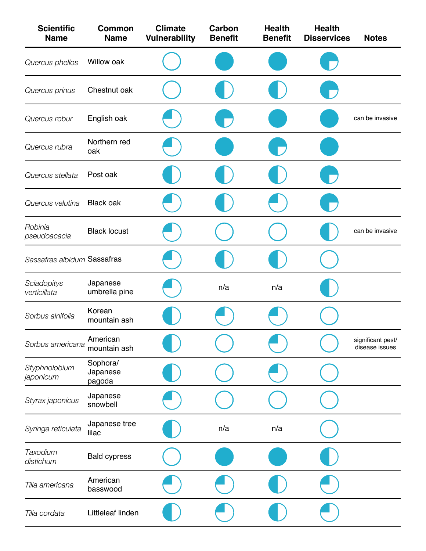| <b>Scientific</b><br><b>Name</b> | <b>Common</b><br><b>Name</b>   | <b>Climate</b><br><b>Vulnerability</b> | Carbon<br><b>Benefit</b> | <b>Health</b><br><b>Benefit</b> | <b>Health</b><br><b>Disservices</b> | <b>Notes</b>                        |
|----------------------------------|--------------------------------|----------------------------------------|--------------------------|---------------------------------|-------------------------------------|-------------------------------------|
| Quercus phellos                  | Willow oak                     |                                        |                          |                                 |                                     |                                     |
| Quercus prinus                   | Chestnut oak                   |                                        |                          |                                 |                                     |                                     |
| Quercus robur                    | English oak                    |                                        |                          |                                 |                                     | can be invasive                     |
| Quercus rubra                    | Northern red<br>oak            |                                        |                          |                                 |                                     |                                     |
| Quercus stellata                 | Post oak                       |                                        |                          |                                 |                                     |                                     |
| Quercus velutina                 | <b>Black oak</b>               |                                        |                          |                                 |                                     |                                     |
| Robinia<br>pseudoacacia          | <b>Black locust</b>            |                                        |                          |                                 |                                     | can be invasive                     |
| Sassafras albidum Sassafras      |                                |                                        |                          |                                 |                                     |                                     |
| Sciadopitys<br>verticillata      | Japanese<br>umbrella pine      |                                        | n/a                      | n/a                             |                                     |                                     |
| Sorbus alnifolia                 | Korean<br>mountain ash         |                                        |                          |                                 |                                     |                                     |
| Sorbus americana                 | American<br>mountain ash       |                                        |                          |                                 |                                     | significant pest/<br>disease issues |
| Styphnolobium<br>japonicum       | Sophora/<br>Japanese<br>pagoda |                                        |                          |                                 |                                     |                                     |
| Styrax japonicus                 | Japanese<br>snowbell           |                                        |                          |                                 |                                     |                                     |
| Syringa reticulata               | Japanese tree<br>lilac         |                                        | n/a                      | n/a                             |                                     |                                     |
| Taxodium<br>distichum            | <b>Bald cypress</b>            |                                        |                          |                                 |                                     |                                     |
| Tilia americana                  | American<br>basswood           |                                        |                          |                                 |                                     |                                     |
| Tilia cordata                    | Littleleaf linden              |                                        |                          |                                 |                                     |                                     |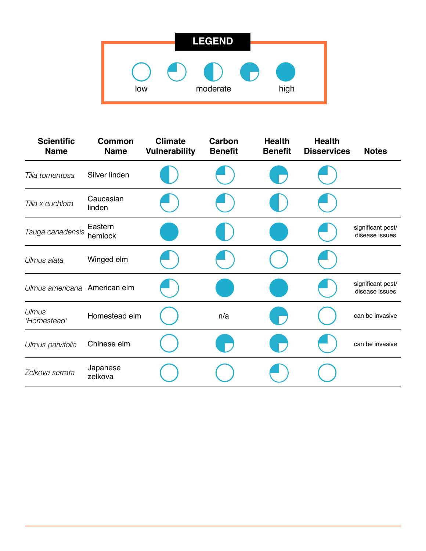| <b>LEGEND</b> |                  |  |  |  |  |  |  |  |  |
|---------------|------------------|--|--|--|--|--|--|--|--|
|               |                  |  |  |  |  |  |  |  |  |
|               |                  |  |  |  |  |  |  |  |  |
| low           | moderate<br>high |  |  |  |  |  |  |  |  |

| <b>Scientific</b><br><b>Name</b> | <b>Common</b><br><b>Name</b> | <b>Climate</b><br><b>Vulnerability</b> | Carbon<br><b>Benefit</b> | <b>Health</b><br><b>Benefit</b> | <b>Health</b><br><b>Disservices</b> | <b>Notes</b>                        |
|----------------------------------|------------------------------|----------------------------------------|--------------------------|---------------------------------|-------------------------------------|-------------------------------------|
| Tilia tomentosa                  | Silver linden                |                                        |                          |                                 |                                     |                                     |
| Tilia x euchlora                 | Caucasian<br>linden          |                                        |                          |                                 |                                     |                                     |
| Tsuga canadensis                 | Eastern<br>hemlock           |                                        |                          |                                 |                                     | significant pest/<br>disease issues |
| Ulmus alata                      | Winged elm                   |                                        |                          |                                 |                                     |                                     |
| Ulmus americana American elm     |                              |                                        |                          |                                 |                                     | significant pest/<br>disease issues |
| Ulmus<br>'Homestead'             | Homestead elm                |                                        | n/a                      |                                 |                                     | can be invasive                     |
| Ulmus parvifolia                 | Chinese elm                  |                                        |                          |                                 |                                     | can be invasive                     |
| Zelkova serrata                  | Japanese<br>zelkova          |                                        |                          |                                 |                                     |                                     |